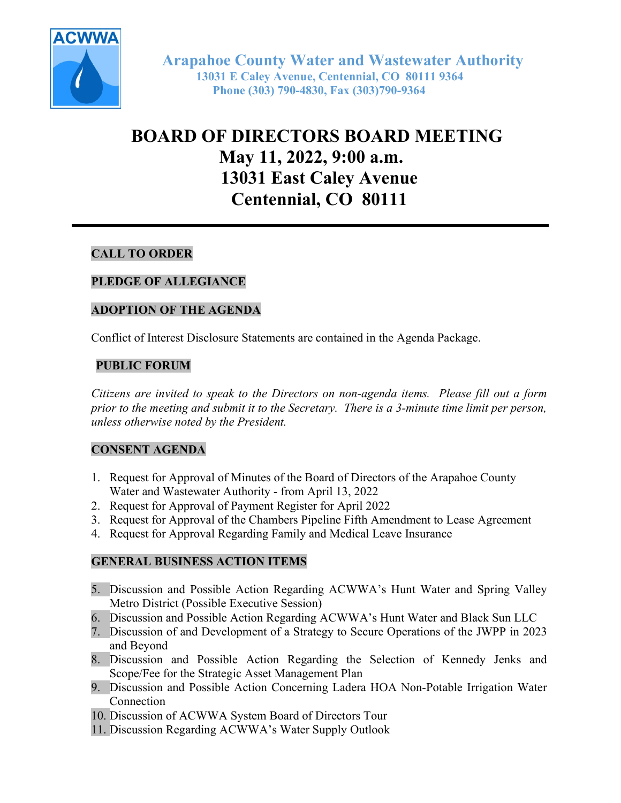

 Arapahoe County Water and Wastewater Authority 13031 E Caley Avenue, Centennial, CO 80111 9364 Phone (303) 790-4830, Fax (303)790-9364

# BOARD OF DIRECTORS BOARD MEETING May 11, 2022, 9:00 a.m. 13031 East Caley Avenue Centennial, CO 80111

# CALL TO ORDER

# PLEDGE OF ALLEGIANCE

## ADOPTION OF THE AGENDA

Conflict of Interest Disclosure Statements are contained in the Agenda Package.

## PUBLIC FORUM

Citizens are invited to speak to the Directors on non-agenda items. Please fill out a form prior to the meeting and submit it to the Secretary. There is a 3-minute time limit per person, unless otherwise noted by the President.

# CONSENT AGENDA

- 1. Request for Approval of Minutes of the Board of Directors of the Arapahoe County Water and Wastewater Authority - from April 13, 2022
- 2. Request for Approval of Payment Register for April 2022
- 3. Request for Approval of the Chambers Pipeline Fifth Amendment to Lease Agreement
- 4. Request for Approval Regarding Family and Medical Leave Insurance

#### GENERAL BUSINESS ACTION ITEMS

- 5. Discussion and Possible Action Regarding ACWWA's Hunt Water and Spring Valley Metro District (Possible Executive Session)
- 6. Discussion and Possible Action Regarding ACWWA's Hunt Water and Black Sun LLC
- 7. Discussion of and Development of a Strategy to Secure Operations of the JWPP in 2023 and Beyond
- 8. Discussion and Possible Action Regarding the Selection of Kennedy Jenks and Scope/Fee for the Strategic Asset Management Plan
- 9. Discussion and Possible Action Concerning Ladera HOA Non-Potable Irrigation Water **Connection**
- 10. Discussion of ACWWA System Board of Directors Tour
- 11. Discussion Regarding ACWWA's Water Supply Outlook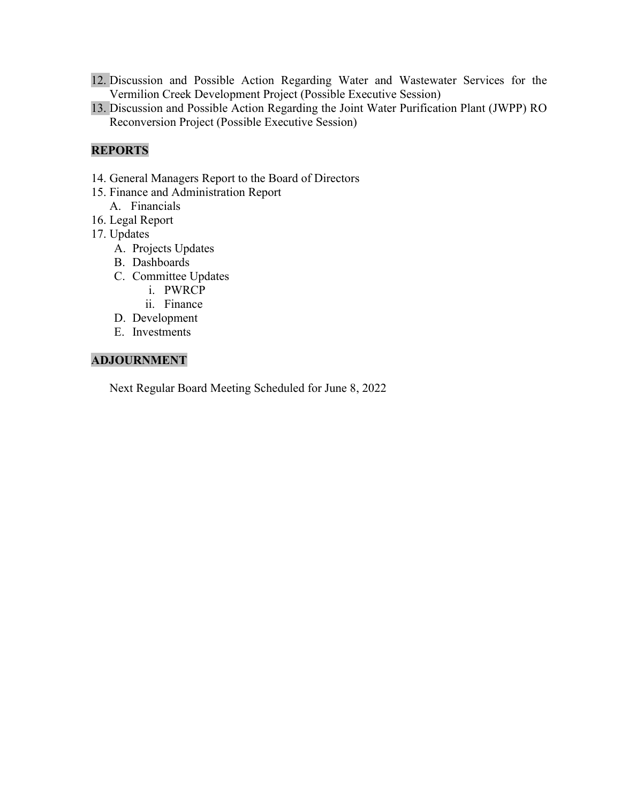- 12. Discussion and Possible Action Regarding Water and Wastewater Services for the Vermilion Creek Development Project (Possible Executive Session)
- 13. Discussion and Possible Action Regarding the Joint Water Purification Plant (JWPP) RO Reconversion Project (Possible Executive Session)

# REPORTS

- 14. General Managers Report to the Board of Directors
- 15. Finance and Administration Report
	- A. Financials
- 16. Legal Report
- 17. Updates
	- A. Projects Updates
	- B. Dashboards
	- C. Committee Updates
		- i. PWRCP
		- ii. Finance
	- D. Development
	- E. Investments

## ADJOURNMENT

Next Regular Board Meeting Scheduled for June 8, 2022